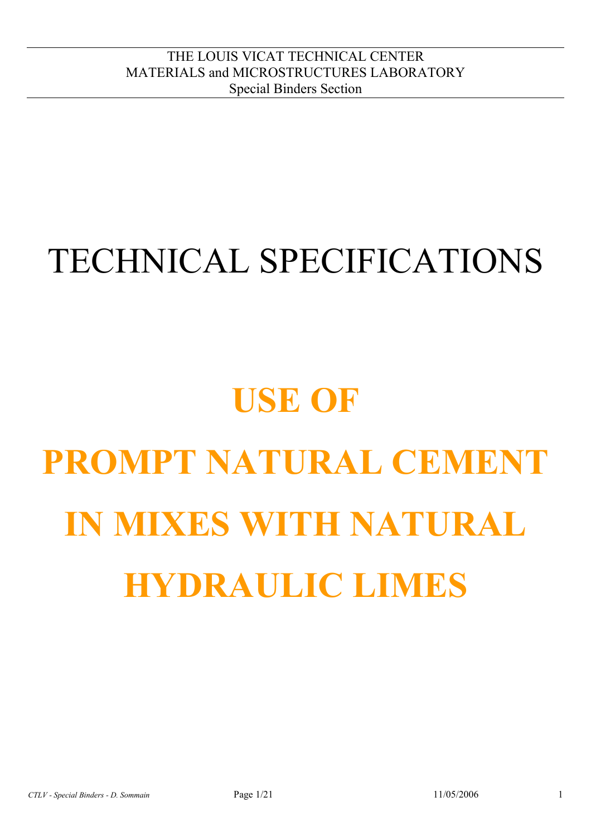## TECHNICAL SPECIFICATIONS

# **USE OF PROMPT NATURAL CEMENT IN MIXES WITH NATURAL HYDRAULIC LIMES**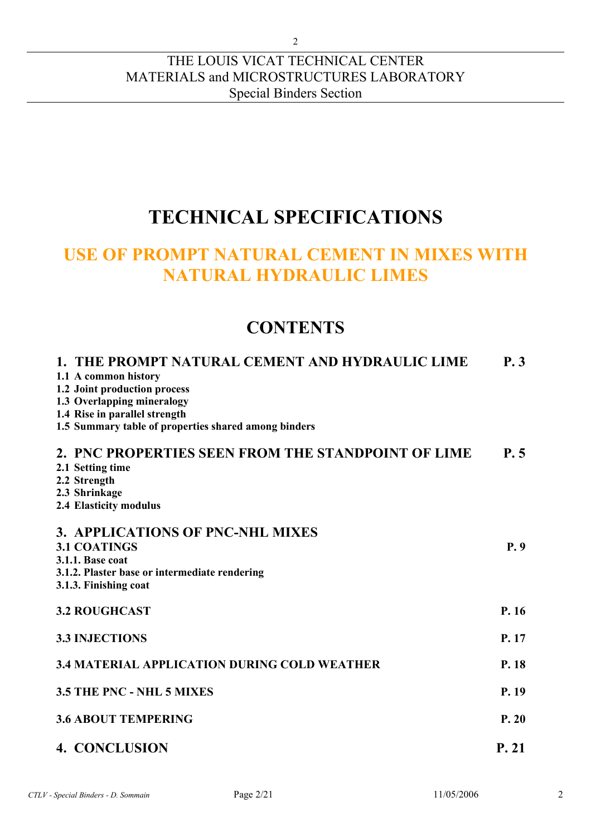#### THE LOUIS VICAT TECHNICAL CENTER MATERIALS and MICROSTRUCTURES LABORATORY Special Binders Section

## **TECHNICAL SPECIFICATIONS**

## **USE OF PROMPT NATURAL CEMENT IN MIXES WITH NATURAL HYDRAULIC LIMES**

## **CONTENTS**

| 1. THE PROMPT NATURAL CEMENT AND HYDRAULIC LIME      | <b>P.3</b> |
|------------------------------------------------------|------------|
| 1.1 A common history                                 |            |
| 1.2 Joint production process                         |            |
| 1.3 Overlapping mineralogy                           |            |
| 1.4 Rise in parallel strength                        |            |
| 1.5 Summary table of properties shared among binders |            |
| 2. PNC PROPERTIES SEEN FROM THE STANDPOINT OF LIME   | P.5        |
| 2.1 Setting time                                     |            |
| 2.2 Strength                                         |            |
| 2.3 Shrinkage                                        |            |
| 2.4 Elasticity modulus                               |            |
| 3. APPLICATIONS OF PNC-NHL MIXES                     |            |
| <b>3.1 COATINGS</b>                                  | P.9        |
|                                                      |            |
| 3.1.1. Base coat                                     |            |
| 3.1.2. Plaster base or intermediate rendering        |            |
| 3.1.3. Finishing coat                                |            |
| <b>3.2 ROUGHCAST</b>                                 | P.16       |
|                                                      |            |
| <b>3.3 INJECTIONS</b>                                | P. 17      |
|                                                      |            |
| <b>3.4 MATERIAL APPLICATION DURING COLD WEATHER</b>  | P. 18      |
| <b>3.5 THE PNC - NHL 5 MIXES</b>                     | P. 19      |
|                                                      |            |
| <b>3.6 ABOUT TEMPERING</b>                           | P.20       |
| <b>4. CONCLUSION</b>                                 | P. 21      |
|                                                      |            |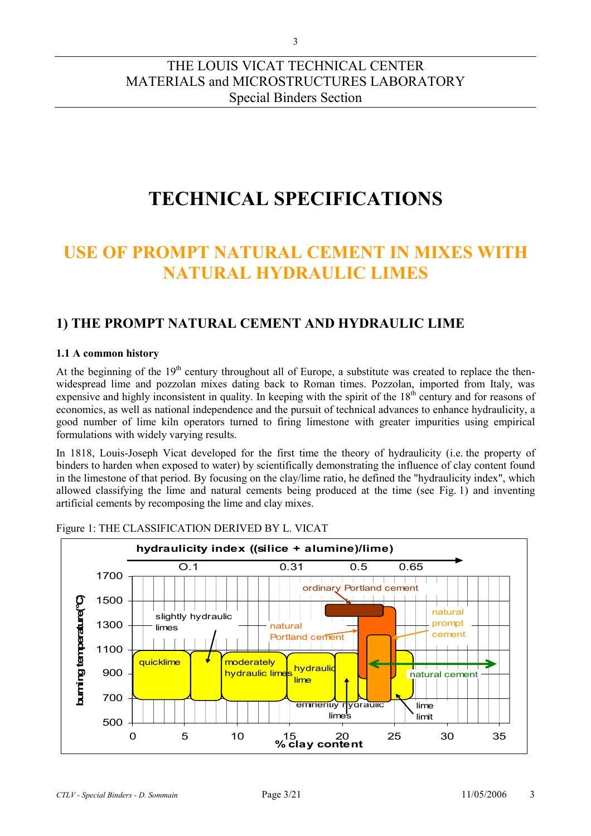## **TECHNICAL SPECIFICATIONS**

## **USE OF PROMPT NATURAL CEMENT IN MIXES WITH NATURAL HYDRAULIC LIMES**

### **1) THE PROMPT NATURAL CEMENT AND HYDRAULIC LIME**

#### **1.1 A common history**

At the beginning of the  $19<sup>th</sup>$  century throughout all of Europe, a substitute was created to replace the thenwidespread lime and pozzolan mixes dating back to Roman times. Pozzolan, imported from Italy, was expensive and highly inconsistent in quality. In keeping with the spirit of the  $18<sup>th</sup>$  century and for reasons of economics, as well as national independence and the pursuit of technical advances to enhance hydraulicity, a good number of lime kiln operators turned to firing limestone with greater impurities using empirical formulations with widely varying results.

In 1818, Louis-Joseph Vicat developed for the first time the theory of hydraulicity (i.e. the property of binders to harden when exposed to water) by scientifically demonstrating the influence of clay content found in the limestone of that period. By focusing on the clay/lime ratio, he defined the "hydraulicity index", which allowed classifying the lime and natural cements being produced at the time (see Fig. 1) and inventing artificial cements by recomposing the lime and clay mixes.



Figure 1: THE CLASSIFICATION DERIVED BY L. VICAT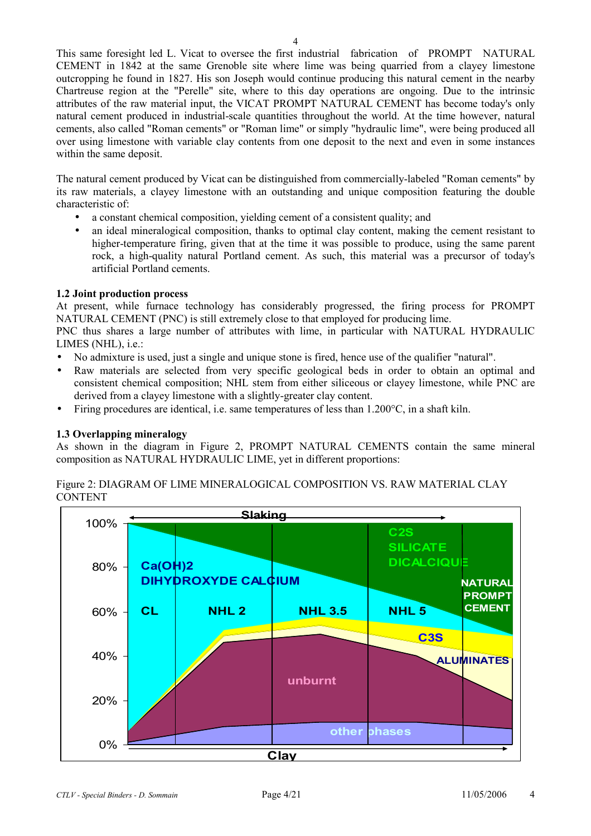This same foresight led L. Vicat to oversee the first industrial fabrication of PROMPT NATURAL CEMENT in 1842 at the same Grenoble site where lime was being quarried from a clayey limestone outcropping he found in 1827. His son Joseph would continue producing this natural cement in the nearby Chartreuse region at the "Perelle" site, where to this day operations are ongoing. Due to the intrinsic attributes of the raw material input, the VICAT PROMPT NATURAL CEMENT has become today's only natural cement produced in industrial-scale quantities throughout the world. At the time however, natural cements, also called "Roman cements" or "Roman lime" or simply "hydraulic lime", were being produced all over using limestone with variable clay contents from one deposit to the next and even in some instances within the same deposit.

The natural cement produced by Vicat can be distinguished from commercially-labeled "Roman cements" by its raw materials, a clayey limestone with an outstanding and unique composition featuring the double characteristic of:

- a constant chemical composition, yielding cement of a consistent quality; and
- an ideal mineralogical composition, thanks to optimal clay content, making the cement resistant to higher-temperature firing, given that at the time it was possible to produce, using the same parent rock, a high-quality natural Portland cement. As such, this material was a precursor of today's artificial Portland cements.

#### **1.2 Joint production process**

At present, while furnace technology has considerably progressed, the firing process for PROMPT NATURAL CEMENT (PNC) is still extremely close to that employed for producing lime.

PNC thus shares a large number of attributes with lime, in particular with NATURAL HYDRAULIC LIMES (NHL), i.e.:

- No admixture is used, just a single and unique stone is fired, hence use of the qualifier "natural".
- Raw materials are selected from very specific geological beds in order to obtain an optimal and consistent chemical composition; NHL stem from either siliceous or clayey limestone, while PNC are derived from a clayey limestone with a slightly-greater clay content.
- Firing procedures are identical, i.e. same temperatures of less than  $1.200^{\circ}$ C, in a shaft kiln.

#### **1.3 Overlapping mineralogy**

As shown in the diagram in Figure 2, PROMPT NATURAL CEMENTS contain the same mineral composition as NATURAL HYDRAULIC LIME, yet in different proportions:

Figure 2: DIAGRAM OF LIME MINERALOGICAL COMPOSITION VS. RAW MATERIAL CLAY **CONTENT** 

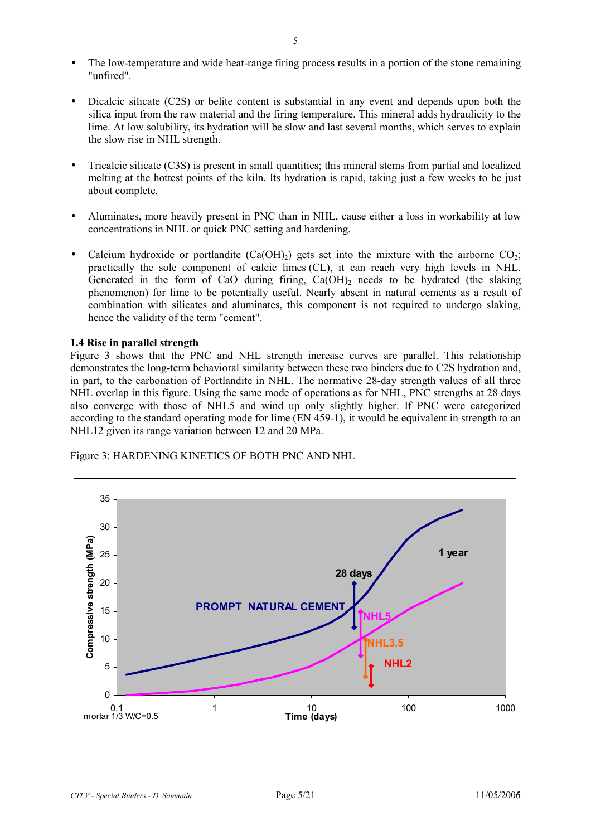- The low-temperature and wide heat-range firing process results in a portion of the stone remaining "unfired".
- Dicalcic silicate (C2S) or belite content is substantial in any event and depends upon both the silica input from the raw material and the firing temperature. This mineral adds hydraulicity to the lime. At low solubility, its hydration will be slow and last several months, which serves to explain the slow rise in NHL strength.
- Tricalcic silicate (C3S) is present in small quantities; this mineral stems from partial and localized melting at the hottest points of the kiln. Its hydration is rapid, taking just a few weeks to be just about complete.
- Aluminates, more heavily present in PNC than in NHL, cause either a loss in workability at low concentrations in NHL or quick PNC setting and hardening.
- Calcium hydroxide or portlandite  $(Ca(OH)_2)$  gets set into the mixture with the airborne  $CO_2$ ; practically the sole component of calcic limes (CL), it can reach very high levels in NHL. Generated in the form of CaO during firing,  $Ca(OH)_2$  needs to be hydrated (the slaking phenomenon) for lime to be potentially useful. Nearly absent in natural cements as a result of combination with silicates and aluminates, this component is not required to undergo slaking, hence the validity of the term "cement".

#### **1.4 Rise in parallel strength**

Figure 3 shows that the PNC and NHL strength increase curves are parallel. This relationship demonstrates the long-term behavioral similarity between these two binders due to C2S hydration and, in part, to the carbonation of Portlandite in NHL. The normative 28-day strength values of all three NHL overlap in this figure. Using the same mode of operations as for NHL, PNC strengths at 28 days also converge with those of NHL5 and wind up only slightly higher. If PNC were categorized according to the standard operating mode for lime (EN 459-1), it would be equivalent in strength to an NHL12 given its range variation between 12 and 20 MPa.

Figure 3: HARDENING KINETICS OF BOTH PNC AND NHL

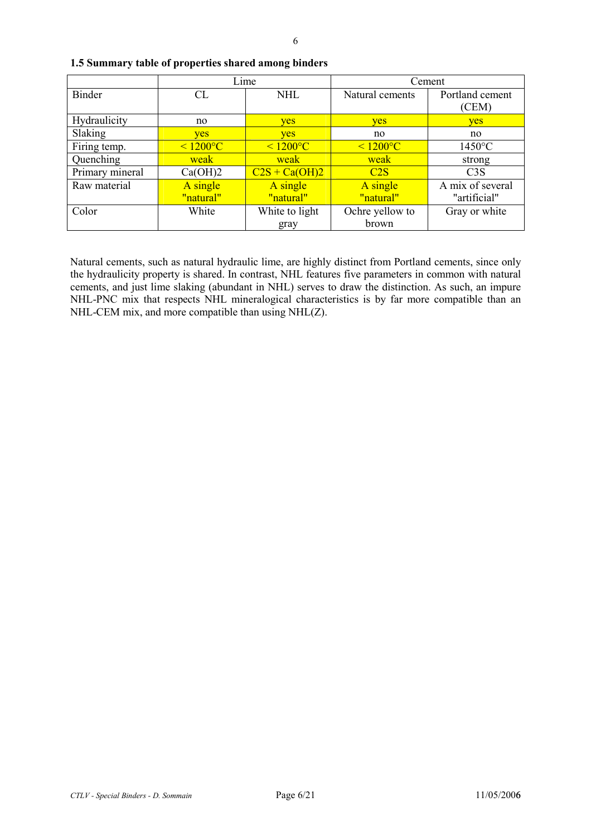|                 | Lime           |                 | Cement          |                  |
|-----------------|----------------|-----------------|-----------------|------------------|
| <b>Binder</b>   | CL             | <b>NHL</b>      | Natural cements | Portland cement  |
|                 |                |                 |                 | (CEM)            |
| Hydraulicity    | no             | yes             | yes             | yes              |
| Slaking         | <b>ves</b>     | <b>ves</b>      | no              | no               |
| Firing temp.    | $\leq 1200$ °C | $\leq 1200$ °C  | $\leq 1200$ °C  | $1450^{\circ}$ C |
| Quenching       | weak           | weak            | weak            | strong           |
| Primary mineral | Ca(OH)2        | $C2S + Ca(OH)2$ | C2S             | C3S              |
| Raw material    | A single       | A single        | A single        | A mix of several |
|                 | "natural"      | "natural"       | "natural"       | "artificial"     |
| Color           | White          | White to light  | Ochre yellow to | Gray or white    |
|                 |                | gray            | brown           |                  |

**1.5 Summary table of properties shared among binders** 

Natural cements, such as natural hydraulic lime, are highly distinct from Portland cements, since only the hydraulicity property is shared. In contrast, NHL features five parameters in common with natural cements, and just lime slaking (abundant in NHL) serves to draw the distinction. As such, an impure NHL-PNC mix that respects NHL mineralogical characteristics is by far more compatible than an NHL-CEM mix, and more compatible than using NHL(Z).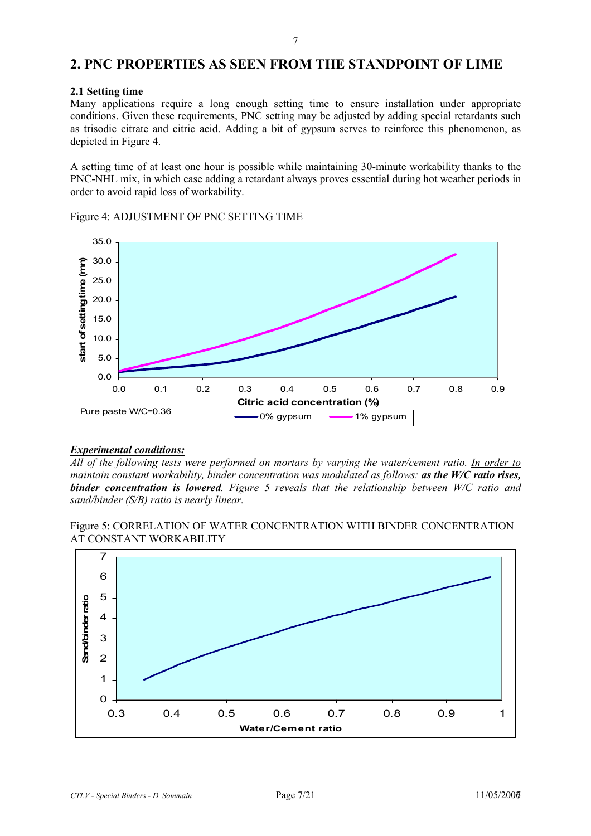#### **2. PNC PROPERTIES AS SEEN FROM THE STANDPOINT OF LIME**

#### **2.1 Setting time**

Many applications require a long enough setting time to ensure installation under appropriate conditions. Given these requirements, PNC setting may be adjusted by adding special retardants such as trisodic citrate and citric acid. Adding a bit of gypsum serves to reinforce this phenomenon, as depicted in Figure 4.

A setting time of at least one hour is possible while maintaining 30-minute workability thanks to the PNC-NHL mix, in which case adding a retardant always proves essential during hot weather periods in order to avoid rapid loss of workability.



Figure 4: ADJUSTMENT OF PNC SETTING TIME

#### *Experimental conditions:*

*All of the following tests were performed on mortars by varying the water/cement ratio. In order to maintain constant workability, binder concentration was modulated as follows: as the W/C ratio rises, binder concentration is lowered. Figure 5 reveals that the relationship between W/C ratio and sand/binder (S/B) ratio is nearly linear.* 

Figure 5: CORRELATION OF WATER CONCENTRATION WITH BINDER CONCENTRATION AT CONSTANT WORKABILITY

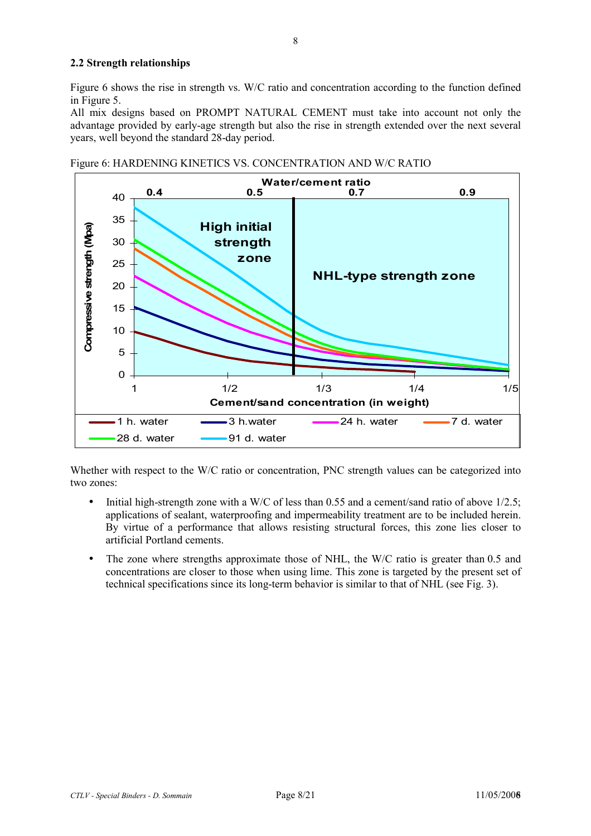#### **2.2 Strength relationships**

Figure 6 shows the rise in strength vs. W/C ratio and concentration according to the function defined in Figure 5.

All mix designs based on PROMPT NATURAL CEMENT must take into account not only the advantage provided by early-age strength but also the rise in strength extended over the next several years, well beyond the standard 28-day period.





Whether with respect to the W/C ratio or concentration, PNC strength values can be categorized into two zones:

- Initial high-strength zone with a W/C of less than 0.55 and a cement/sand ratio of above  $1/2.5$ ; applications of sealant, waterproofing and impermeability treatment are to be included herein. By virtue of a performance that allows resisting structural forces, this zone lies closer to artificial Portland cements.
- The zone where strengths approximate those of NHL, the W/C ratio is greater than 0.5 and concentrations are closer to those when using lime. This zone is targeted by the present set of technical specifications since its long-term behavior is similar to that of NHL (see Fig. 3).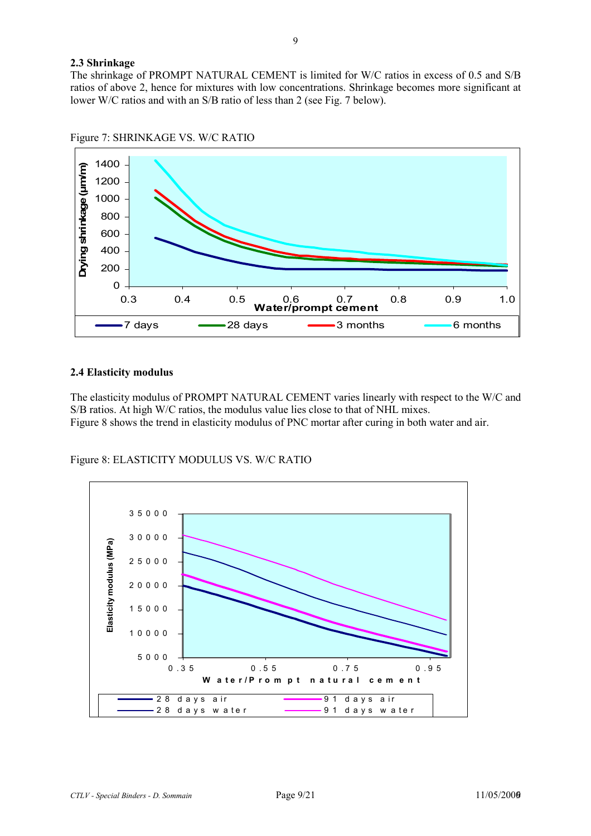#### **2.3 Shrinkage**

The shrinkage of PROMPT NATURAL CEMENT is limited for W/C ratios in excess of 0.5 and S/B ratios of above 2, hence for mixtures with low concentrations. Shrinkage becomes more significant at lower W/C ratios and with an S/B ratio of less than 2 (see Fig. 7 below).



Figure 7: SHRINKAGE VS. W/C RATIO

#### **2.4 Elasticity modulus**

The elasticity modulus of PROMPT NATURAL CEMENT varies linearly with respect to the W/C and S/B ratios. At high W/C ratios, the modulus value lies close to that of NHL mixes. Figure 8 shows the trend in elasticity modulus of PNC mortar after curing in both water and air.



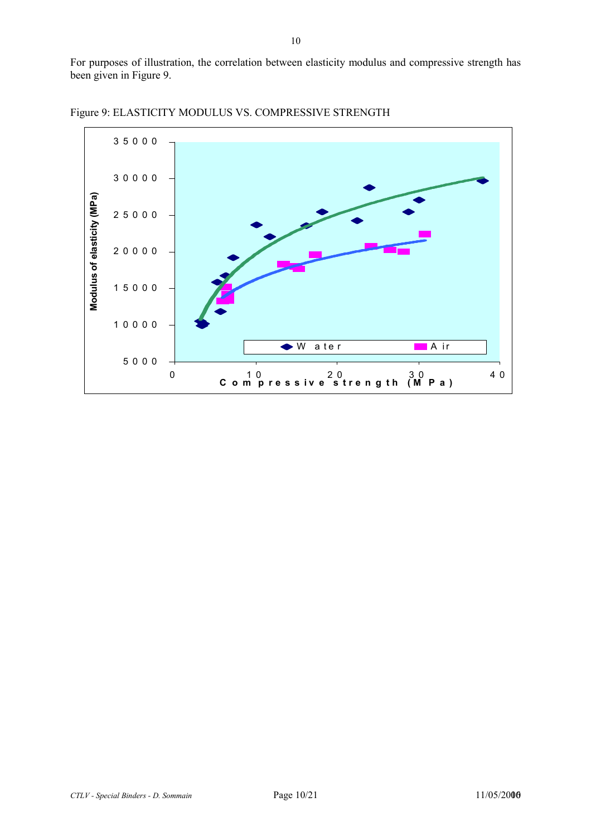For purposes of illustration, the correlation between elasticity modulus and compressive strength has been given in Figure 9.



Figure 9: ELASTICITY MODULUS VS. COMPRESSIVE STRENGTH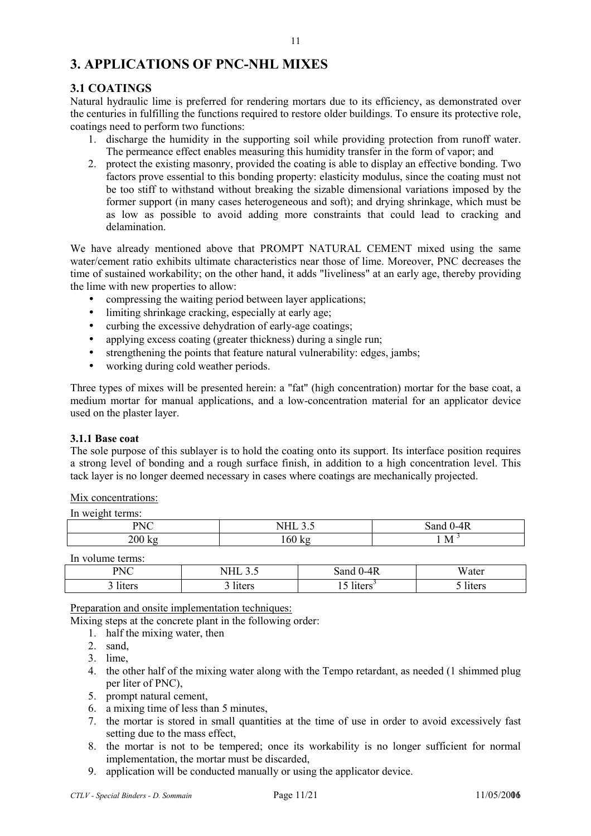#### **3. APPLICATIONS OF PNC-NHL MIXES**

#### **3.1 COATINGS**

Natural hydraulic lime is preferred for rendering mortars due to its efficiency, as demonstrated over the centuries in fulfilling the functions required to restore older buildings. To ensure its protective role, coatings need to perform two functions:

- 1. discharge the humidity in the supporting soil while providing protection from runoff water. The permeance effect enables measuring this humidity transfer in the form of vapor; and
- 2. protect the existing masonry, provided the coating is able to display an effective bonding. Two factors prove essential to this bonding property: elasticity modulus, since the coating must not be too stiff to withstand without breaking the sizable dimensional variations imposed by the former support (in many cases heterogeneous and soft); and drying shrinkage, which must be as low as possible to avoid adding more constraints that could lead to cracking and delamination.

We have already mentioned above that PROMPT NATURAL CEMENT mixed using the same water/cement ratio exhibits ultimate characteristics near those of lime. Moreover, PNC decreases the time of sustained workability; on the other hand, it adds "liveliness" at an early age, thereby providing the lime with new properties to allow:

- compressing the waiting period between layer applications;
- limiting shrinkage cracking, especially at early age;
- curbing the excessive dehydration of early-age coatings;
- applying excess coating (greater thickness) during a single run;
- strengthening the points that feature natural vulnerability: edges, jambs;
- working during cold weather periods.

Three types of mixes will be presented herein: a "fat" (high concentration) mortar for the base coat, a medium mortar for manual applications, and a low-concentration material for an applicator device used on the plaster layer.

#### **3.1.1 Base coat**

The sole purpose of this sublayer is to hold the coating onto its support. Its interface position requires a strong level of bonding and a rough surface finish, in addition to a high concentration level. This tack layer is no longer deemed necessary in cases where coatings are mechanically projected.

#### Mix concentrations:

| In weight terms: |  |
|------------------|--|
|                  |  |

| PNC<br>$\lambda$             | ຸ່<br>,,,,,  | $\Lambda$ E<br>.anc<br>.<br>T1\ |
|------------------------------|--------------|---------------------------------|
| 700<br>lz o<br>$\sim$ $\sim$ | Kε<br>. OU . | M                               |

In volume terms:

| <b>PNC</b><br>1 1 1 U | 1111 J.J | $0-4R$<br>Sand '    | <b>TT</b><br>Water |
|-----------------------|----------|---------------------|--------------------|
| liters                | liters   | liters <sup>-</sup> | liters             |

Preparation and onsite implementation techniques:

Mixing steps at the concrete plant in the following order:

- 1. half the mixing water, then
- 2. sand,
- 3. lime,
- 4. the other half of the mixing water along with the Tempo retardant, as needed (1 shimmed plug per liter of PNC),
- 5. prompt natural cement,
- 6. a mixing time of less than 5 minutes,
- 7. the mortar is stored in small quantities at the time of use in order to avoid excessively fast setting due to the mass effect,
- 8. the mortar is not to be tempered; once its workability is no longer sufficient for normal implementation, the mortar must be discarded,
- 9. application will be conducted manually or using the applicator device.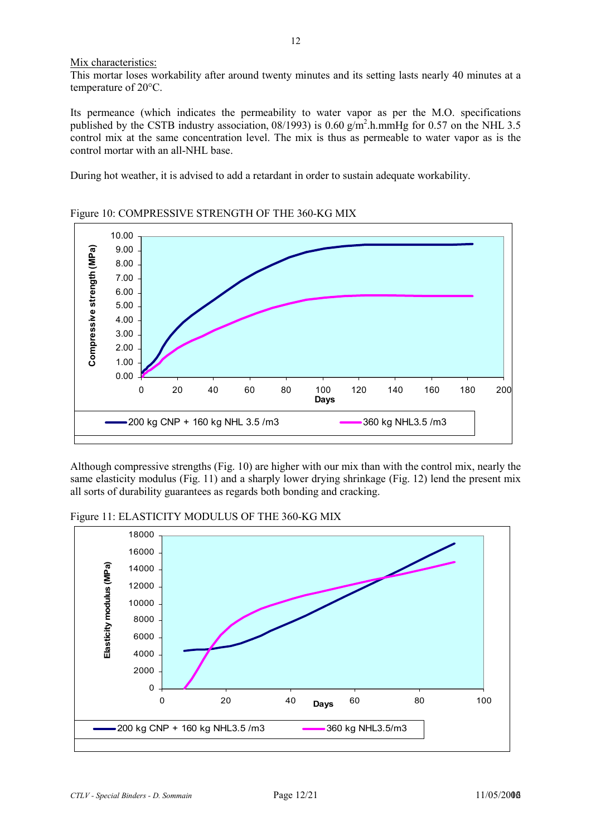Mix characteristics:

This mortar loses workability after around twenty minutes and its setting lasts nearly 40 minutes at a temperature of 20°C.

Its permeance (which indicates the permeability to water vapor as per the M.O. specifications published by the CSTB industry association,  $08/1993$ ) is  $0.60 \frac{\text{g}}{\text{m}^2}$ .h.mmHg for 0.57 on the NHL 3.5 control mix at the same concentration level. The mix is thus as permeable to water vapor as is the control mortar with an all-NHL base.

During hot weather, it is advised to add a retardant in order to sustain adequate workability.



Figure 10: COMPRESSIVE STRENGTH OF THE 360-KG MIX

Although compressive strengths (Fig. 10) are higher with our mix than with the control mix, nearly the same elasticity modulus (Fig. 11) and a sharply lower drying shrinkage (Fig. 12) lend the present mix all sorts of durability guarantees as regards both bonding and cracking.

Figure 11: ELASTICITY MODULUS OF THE 360-KG MIX

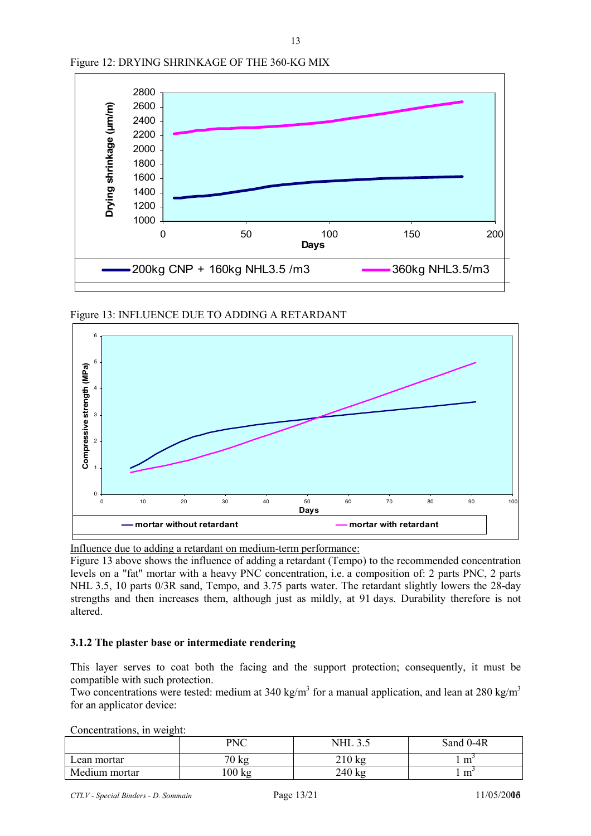

13

Figure 12: DRYING SHRINKAGE OF THE 360-KG MIX

Figure 13: INFLUENCE DUE TO ADDING A RETARDANT



Influence due to adding a retardant on medium-term performance:

Figure 13 above shows the influence of adding a retardant (Tempo) to the recommended concentration levels on a "fat" mortar with a heavy PNC concentration, i.e. a composition of: 2 parts PNC, 2 parts NHL 3.5, 10 parts 0/3R sand, Tempo, and 3.75 parts water. The retardant slightly lowers the 28-day strengths and then increases them, although just as mildly, at 91 days. Durability therefore is not altered.

#### **3.1.2 The plaster base or intermediate rendering**

This layer serves to coat both the facing and the support protection; consequently, it must be compatible with such protection.

Two concentrations were tested: medium at 340 kg/m<sup>3</sup> for a manual application, and lean at 280 kg/m<sup>3</sup> for an applicator device:

Concentrations, in weight:

| - - - - - - - - - - - - - - - - - -<br>---- - - - - - - - - - |                 |                  |                  |
|---------------------------------------------------------------|-----------------|------------------|------------------|
|                                                               | PNC             | ن ک              | Sand 0-4R        |
| Lean mortar                                                   | $70 \text{ kg}$ | $210 \text{ kg}$ | $m$ <sup>-</sup> |
| Medium mortar                                                 | 100 kg          | 240 kg           | m                |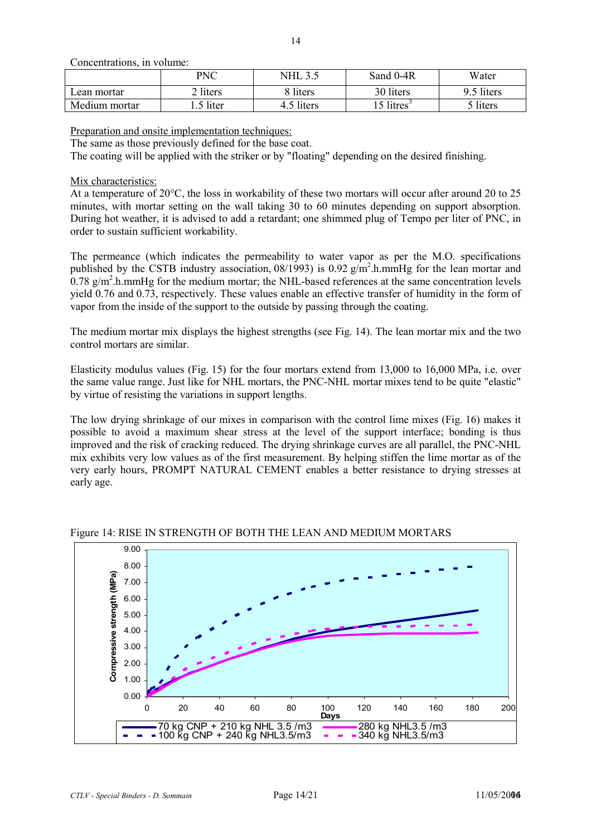Concentrations, in volume:

|               | PNC      | <b>NHL</b> | Sand 0-4R             | Water               |
|---------------|----------|------------|-----------------------|---------------------|
| ∟ean mortar   | 2 liters | 8 liters   | 30 liters             | 9.5 liters          |
| Medium mortar | Iiter    | .5 liters  | 5 litres <sup>3</sup> | <sup>-</sup> liters |

Preparation and onsite implementation techniques:

The same as those previously defined for the base coat.

The coating will be applied with the striker or by "floating" depending on the desired finishing.

#### Mix characteristics:

At a temperature of 20 $\degree$ C, the loss in workability of these two mortars will occur after around 20 to 25 minutes, with mortar setting on the wall taking 30 to 60 minutes depending on support absorption. During hot weather, it is advised to add a retardant; one shimmed plug of Tempo per liter of PNC, in order to sustain sufficient workability.

The permeance (which indicates the permeability to water vapor as per the M.O. specifications published by the CSTB industry association,  $08/1993$ ) is  $0.92$  g/m<sup>2</sup>.h.mmHg for the lean mortar and  $0.78$  g/m<sup>2</sup>.h.mmHg for the medium mortar; the NHL-based references at the same concentration levels yield 0.76 and 0.73, respectively. These values enable an effective transfer of humidity in the form of vapor from the inside of the support to the outside by passing through the coating.

The medium mortar mix displays the highest strengths (see Fig. 14). The lean mortar mix and the two control mortars are similar.

Elasticity modulus values (Fig. 15) for the four mortars extend from 13,000 to 16,000 MPa, i.e. over the same value range. Just like for NHL mortars, the PNC-NHL mortar mixes tend to be quite "elastic" by virtue of resisting the variations in support lengths.

The low drying shrinkage of our mixes in comparison with the control lime mixes (Fig. 16) makes it possible to avoid a maximum shear stress at the level of the support interface; bonding is thus improved and the risk of cracking reduced. The drying shrinkage curves are all parallel, the PNC-NHL mix exhibits very low values as of the first measurement. By helping stiffen the lime mortar as of the very early hours, PROMPT NATURAL CEMENT enables a better resistance to drying stresses at early age.



Figure 14: RISE IN STRENGTH OF BOTH THE LEAN AND MEDIUM MORTARS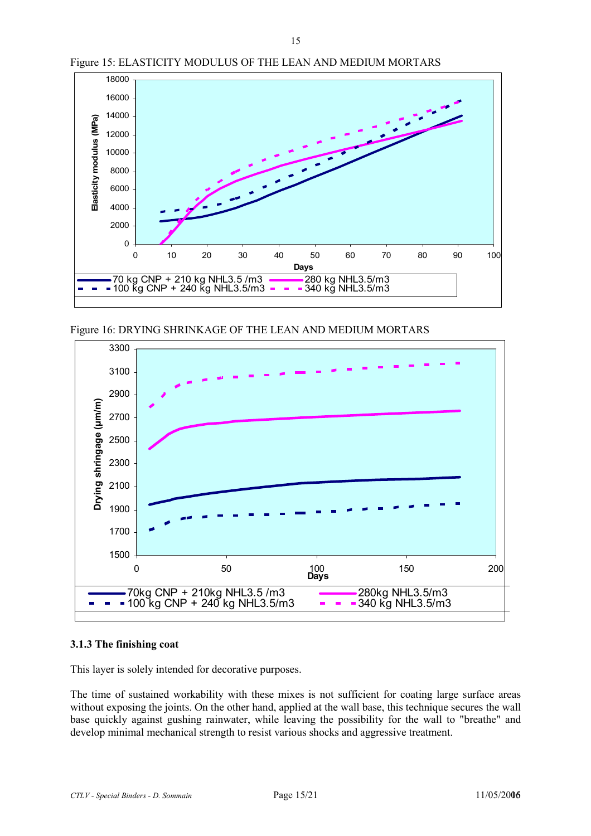

Figure 15: ELASTICITY MODULUS OF THE LEAN AND MEDIUM MORTARS

Figure 16: DRYING SHRINKAGE OF THE LEAN AND MEDIUM MORTARS



#### **3.1.3 The finishing coat**

This layer is solely intended for decorative purposes.

The time of sustained workability with these mixes is not sufficient for coating large surface areas without exposing the joints. On the other hand, applied at the wall base, this technique secures the wall base quickly against gushing rainwater, while leaving the possibility for the wall to "breathe" and develop minimal mechanical strength to resist various shocks and aggressive treatment.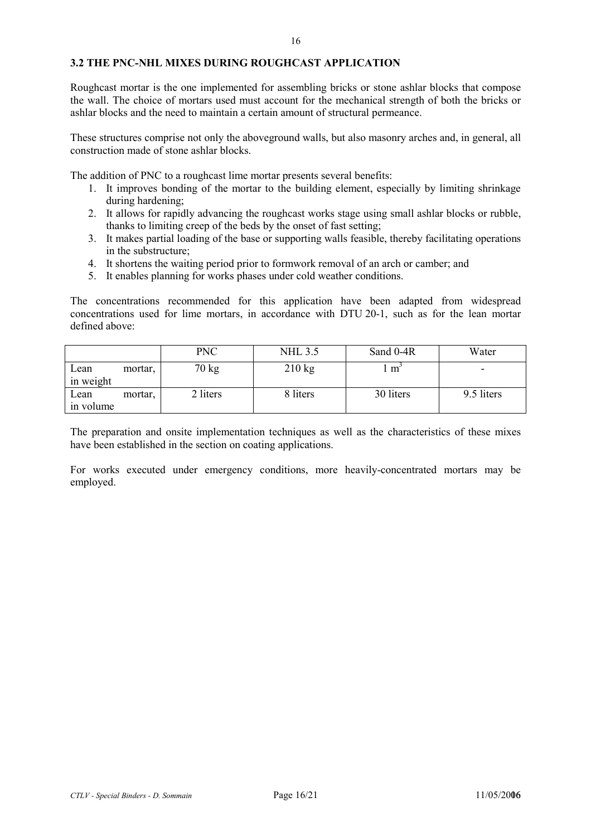#### **3.2 THE PNC-NHL MIXES DURING ROUGHCAST APPLICATION**

Roughcast mortar is the one implemented for assembling bricks or stone ashlar blocks that compose the wall. The choice of mortars used must account for the mechanical strength of both the bricks or ashlar blocks and the need to maintain a certain amount of structural permeance.

These structures comprise not only the aboveground walls, but also masonry arches and, in general, all construction made of stone ashlar blocks.

The addition of PNC to a roughcast lime mortar presents several benefits:

- 1. It improves bonding of the mortar to the building element, especially by limiting shrinkage during hardening;
- 2. It allows for rapidly advancing the roughcast works stage using small ashlar blocks or rubble, thanks to limiting creep of the beds by the onset of fast setting;
- 3. It makes partial loading of the base or supporting walls feasible, thereby facilitating operations in the substructure;
- 4. It shortens the waiting period prior to formwork removal of an arch or camber; and
- 5. It enables planning for works phases under cold weather conditions.

The concentrations recommended for this application have been adapted from widespread concentrations used for lime mortars, in accordance with DTU 20-1, such as for the lean mortar defined above:

|                   |         | <b>PNC</b> | <b>NHL 3.5</b>   | Sand 0-4R | Water                    |
|-------------------|---------|------------|------------------|-----------|--------------------------|
| Lean<br>in weight | mortar, | 70 kg      | $210 \text{ kg}$ | m         | $\overline{\phantom{0}}$ |
| Lean<br>in volume | mortar, | 2 liters   | 8 liters         | 30 liters | 9.5 liters               |

The preparation and onsite implementation techniques as well as the characteristics of these mixes have been established in the section on coating applications.

For works executed under emergency conditions, more heavily-concentrated mortars may be employed.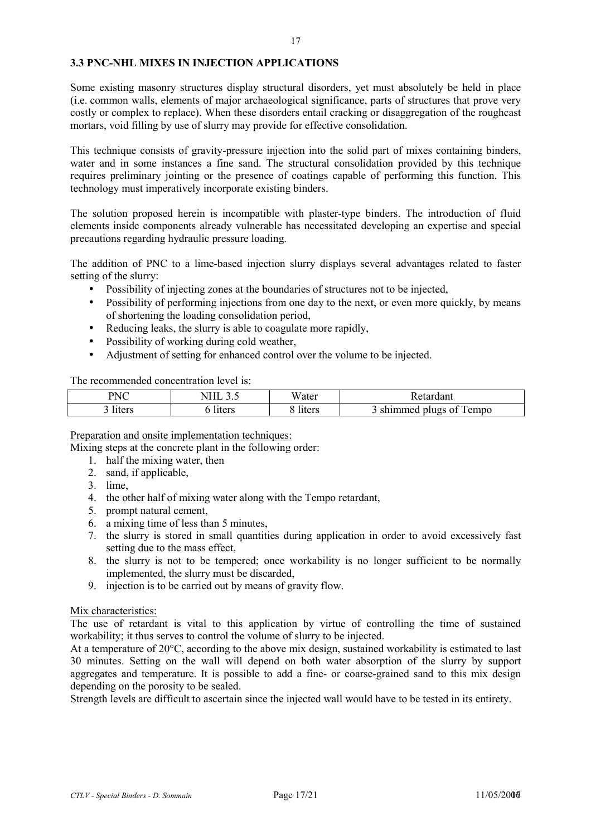#### **3.3 PNC-NHL MIXES IN INJECTION APPLICATIONS**

Some existing masonry structures display structural disorders, yet must absolutely be held in place (i.e. common walls, elements of major archaeological significance, parts of structures that prove very costly or complex to replace). When these disorders entail cracking or disaggregation of the roughcast mortars, void filling by use of slurry may provide for effective consolidation.

This technique consists of gravity-pressure injection into the solid part of mixes containing binders, water and in some instances a fine sand. The structural consolidation provided by this technique requires preliminary jointing or the presence of coatings capable of performing this function. This technology must imperatively incorporate existing binders.

The solution proposed herein is incompatible with plaster-type binders. The introduction of fluid elements inside components already vulnerable has necessitated developing an expertise and special precautions regarding hydraulic pressure loading.

The addition of PNC to a lime-based injection slurry displays several advantages related to faster setting of the slurry:

- Possibility of injecting zones at the boundaries of structures not to be injected,
- Possibility of performing injections from one day to the next, or even more quickly, by means of shortening the loading consolidation period,
- Reducing leaks, the slurry is able to coagulate more rapidly,
- Possibility of working during cold weather,
- Adjustment of setting for enhanced control over the volume to be injected.

The recommended concentration level is:

| PNC<br>$\sim$ | $\overline{1111}$<br>ັ້ | Water  | Retardant                |
|---------------|-------------------------|--------|--------------------------|
| liters        | liters                  | liters | empo<br>shimmed plugs of |

#### Preparation and onsite implementation techniques:

Mixing steps at the concrete plant in the following order:

- 1. half the mixing water, then
- 2. sand, if applicable,
- 3. lime,
- 4. the other half of mixing water along with the Tempo retardant,
- 5. prompt natural cement,
- 6. a mixing time of less than 5 minutes,
- 7. the slurry is stored in small quantities during application in order to avoid excessively fast setting due to the mass effect,
- 8. the slurry is not to be tempered; once workability is no longer sufficient to be normally implemented, the slurry must be discarded,
- 9. injection is to be carried out by means of gravity flow.

#### Mix characteristics:

The use of retardant is vital to this application by virtue of controlling the time of sustained workability; it thus serves to control the volume of slurry to be injected.

At a temperature of 20°C, according to the above mix design, sustained workability is estimated to last 30 minutes. Setting on the wall will depend on both water absorption of the slurry by support aggregates and temperature. It is possible to add a fine- or coarse-grained sand to this mix design depending on the porosity to be sealed.

Strength levels are difficult to ascertain since the injected wall would have to be tested in its entirety.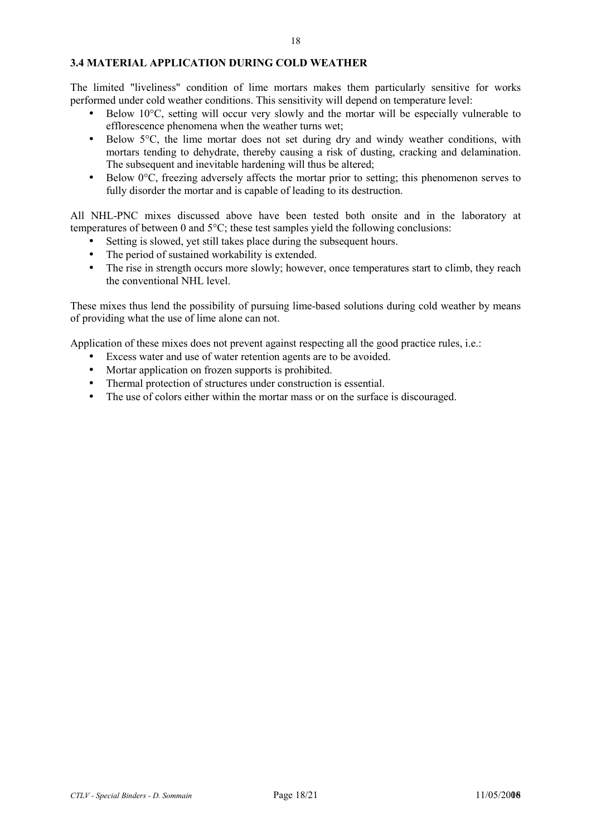#### **3.4 MATERIAL APPLICATION DURING COLD WEATHER**

The limited "liveliness" condition of lime mortars makes them particularly sensitive for works performed under cold weather conditions. This sensitivity will depend on temperature level:

- Below 10<sup>o</sup>C, setting will occur very slowly and the mortar will be especially vulnerable to efflorescence phenomena when the weather turns wet;
- Below 5°C, the lime mortar does not set during dry and windy weather conditions, with mortars tending to dehydrate, thereby causing a risk of dusting, cracking and delamination. The subsequent and inevitable hardening will thus be altered;
- Below  $0^{\circ}C$ , freezing adversely affects the mortar prior to setting; this phenomenon serves to fully disorder the mortar and is capable of leading to its destruction.

All NHL-PNC mixes discussed above have been tested both onsite and in the laboratory at temperatures of between 0 and 5°C; these test samples yield the following conclusions:

- Setting is slowed, yet still takes place during the subsequent hours.
- The period of sustained workability is extended.
- The rise in strength occurs more slowly; however, once temperatures start to climb, they reach the conventional NHL level.

These mixes thus lend the possibility of pursuing lime-based solutions during cold weather by means of providing what the use of lime alone can not.

Application of these mixes does not prevent against respecting all the good practice rules, i.e.:

- Excess water and use of water retention agents are to be avoided.
- Mortar application on frozen supports is prohibited.
- Thermal protection of structures under construction is essential.
- The use of colors either within the mortar mass or on the surface is discouraged.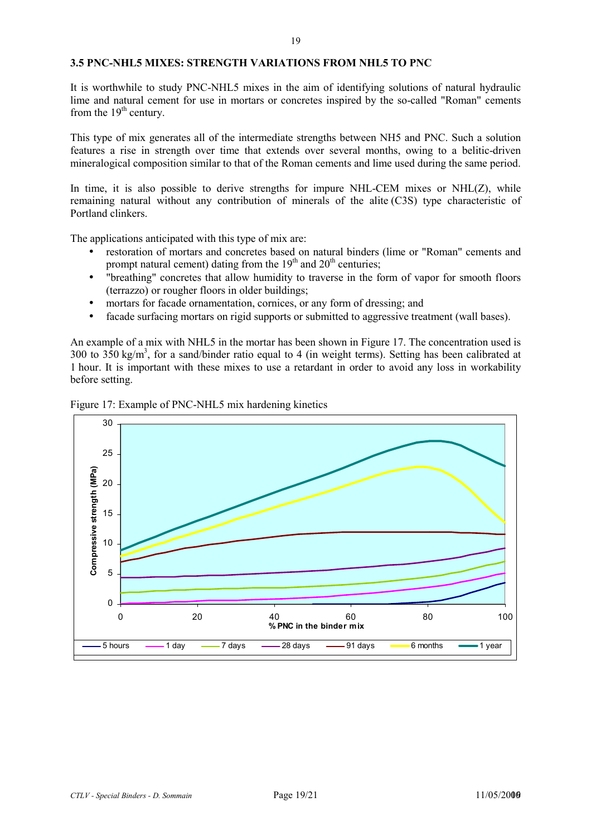#### **3.5 PNC-NHL5 MIXES: STRENGTH VARIATIONS FROM NHL5 TO PNC**

It is worthwhile to study PNC-NHL5 mixes in the aim of identifying solutions of natural hydraulic lime and natural cement for use in mortars or concretes inspired by the so-called "Roman" cements from the  $19<sup>th</sup>$  century.

This type of mix generates all of the intermediate strengths between NH5 and PNC. Such a solution features a rise in strength over time that extends over several months, owing to a belitic-driven mineralogical composition similar to that of the Roman cements and lime used during the same period.

In time, it is also possible to derive strengths for impure NHL-CEM mixes or NHL(Z), while remaining natural without any contribution of minerals of the alite (C3S) type characteristic of Portland clinkers.

The applications anticipated with this type of mix are:

- restoration of mortars and concretes based on natural binders (lime or "Roman" cements and prompt natural cement) dating from the  $19<sup>th</sup>$  and  $20<sup>th</sup>$  centuries;
- "breathing" concretes that allow humidity to traverse in the form of vapor for smooth floors (terrazzo) or rougher floors in older buildings;
- mortars for facade ornamentation, cornices, or any form of dressing; and
- facade surfacing mortars on rigid supports or submitted to aggressive treatment (wall bases).

An example of a mix with NHL5 in the mortar has been shown in Figure 17. The concentration used is 300 to  $350 \text{ kg/m}^3$ , for a sand/binder ratio equal to 4 (in weight terms). Setting has been calibrated at 1 hour. It is important with these mixes to use a retardant in order to avoid any loss in workability before setting.



Figure 17: Example of PNC-NHL5 mix hardening kinetics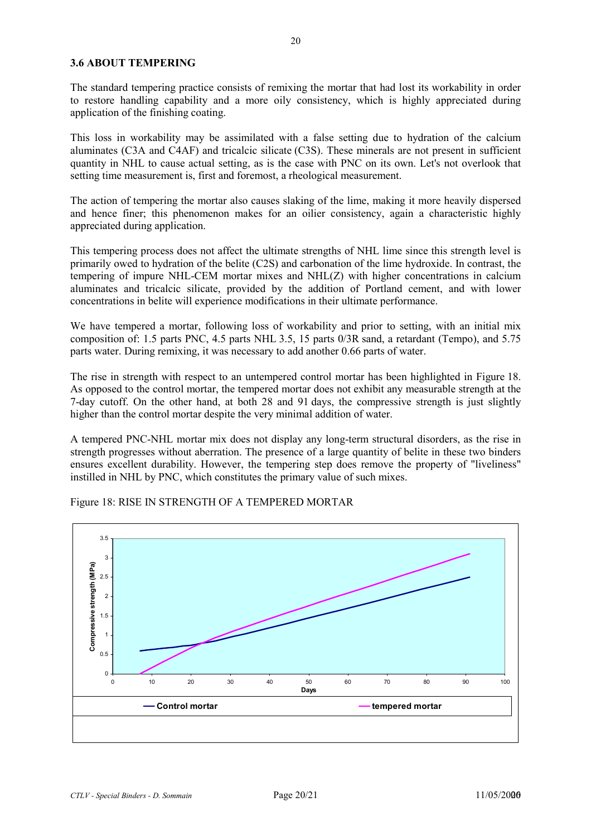#### **3.6 ABOUT TEMPERING**

The standard tempering practice consists of remixing the mortar that had lost its workability in order to restore handling capability and a more oily consistency, which is highly appreciated during application of the finishing coating.

This loss in workability may be assimilated with a false setting due to hydration of the calcium aluminates (C3A and C4AF) and tricalcic silicate (C3S). These minerals are not present in sufficient quantity in NHL to cause actual setting, as is the case with PNC on its own. Let's not overlook that setting time measurement is, first and foremost, a rheological measurement.

The action of tempering the mortar also causes slaking of the lime, making it more heavily dispersed and hence finer; this phenomenon makes for an oilier consistency, again a characteristic highly appreciated during application.

This tempering process does not affect the ultimate strengths of NHL lime since this strength level is primarily owed to hydration of the belite (C2S) and carbonation of the lime hydroxide. In contrast, the tempering of impure NHL-CEM mortar mixes and NHL(Z) with higher concentrations in calcium aluminates and tricalcic silicate, provided by the addition of Portland cement, and with lower concentrations in belite will experience modifications in their ultimate performance.

We have tempered a mortar, following loss of workability and prior to setting, with an initial mix composition of: 1.5 parts PNC, 4.5 parts NHL 3.5, 15 parts 0/3R sand, a retardant (Tempo), and 5.75 parts water. During remixing, it was necessary to add another 0.66 parts of water.

The rise in strength with respect to an untempered control mortar has been highlighted in Figure 18. As opposed to the control mortar, the tempered mortar does not exhibit any measurable strength at the 7-day cutoff. On the other hand, at both 28 and 91 days, the compressive strength is just slightly higher than the control mortar despite the very minimal addition of water.

A tempered PNC-NHL mortar mix does not display any long-term structural disorders, as the rise in strength progresses without aberration. The presence of a large quantity of belite in these two binders ensures excellent durability. However, the tempering step does remove the property of "liveliness" instilled in NHL by PNC, which constitutes the primary value of such mixes.



Figure 18: RISE IN STRENGTH OF A TEMPERED MORTAR